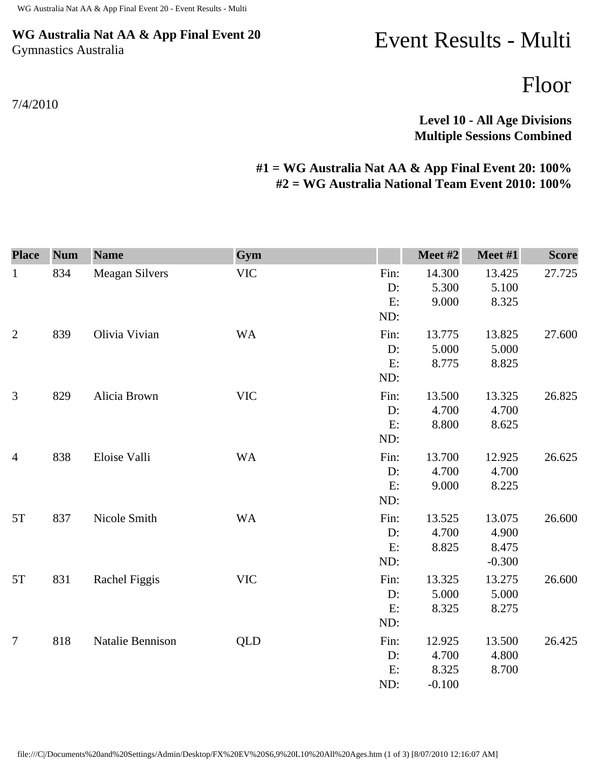## **WG Australia Nat AA & App Final Event 20** Gymnastics Australia

## Event Results - Multi

Floor

**Level 10 - All Age Divisions Multiple Sessions Combined** 

## **#1 = WG Australia Nat AA & App Final Event 20: 100% #2 = WG Australia National Team Event 2010: 100%**

| <b>Place</b>   | <b>Num</b> | <b>Name</b>           | Gym        |      | Meet #2  | Meet #1  | <b>Score</b> |
|----------------|------------|-----------------------|------------|------|----------|----------|--------------|
| $\mathbf{1}$   | 834        | <b>Meagan Silvers</b> | <b>VIC</b> | Fin: | 14.300   | 13.425   | 27.725       |
|                |            |                       |            | D:   | 5.300    | 5.100    |              |
|                |            |                       |            | E:   | 9.000    | 8.325    |              |
|                |            |                       |            | ND:  |          |          |              |
| $\overline{2}$ | 839        | Olivia Vivian         | <b>WA</b>  | Fin: | 13.775   | 13.825   | 27.600       |
|                |            |                       |            | D:   | 5.000    | 5.000    |              |
|                |            |                       |            | E:   | 8.775    | 8.825    |              |
|                |            |                       |            | ND:  |          |          |              |
| 3              | 829        | Alicia Brown          | <b>VIC</b> | Fin: | 13.500   | 13.325   | 26.825       |
|                |            |                       |            | D:   | 4.700    | 4.700    |              |
|                |            |                       |            | E:   | 8.800    | 8.625    |              |
|                |            |                       |            | ND:  |          |          |              |
| $\overline{4}$ | 838        | Eloise Valli          | <b>WA</b>  | Fin: | 13.700   | 12.925   | 26.625       |
|                |            |                       |            | D:   | 4.700    | 4.700    |              |
|                |            |                       |            | E:   | 9.000    | 8.225    |              |
|                |            |                       |            | ND:  |          |          |              |
| 5T             | 837        | Nicole Smith          | <b>WA</b>  | Fin: | 13.525   | 13.075   | 26.600       |
|                |            |                       |            | D:   | 4.700    | 4.900    |              |
|                |            |                       |            | E:   | 8.825    | 8.475    |              |
|                |            |                       |            | ND:  |          | $-0.300$ |              |
| 5T             | 831        | Rachel Figgis         | <b>VIC</b> | Fin: | 13.325   | 13.275   | 26.600       |
|                |            |                       |            | D:   | 5.000    | 5.000    |              |
|                |            |                       |            | E:   | 8.325    | 8.275    |              |
|                |            |                       |            | ND:  |          |          |              |
| $\tau$         | 818        | Natalie Bennison      | QLD        | Fin: | 12.925   | 13.500   | 26.425       |
|                |            |                       |            | D:   | 4.700    | 4.800    |              |
|                |            |                       |            | E:   | 8.325    | 8.700    |              |
|                |            |                       |            | ND:  | $-0.100$ |          |              |

7/4/2010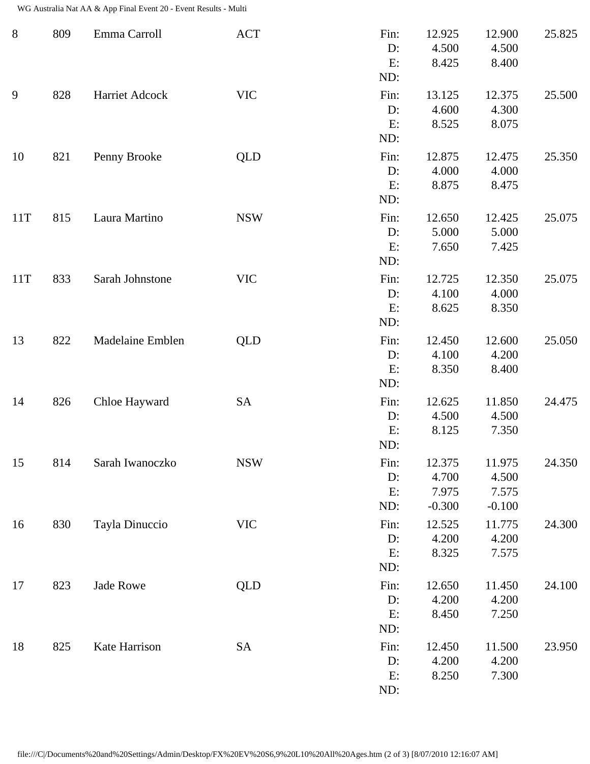WG Australia Nat AA & App Final Event 20 - Event Results - Multi

| $8\,$ | 809 | Emma Carroll     | <b>ACT</b> | Fin:<br>D:<br>E:<br>ND:    | 12.925<br>4.500<br>8.425             | 12.900<br>4.500<br>8.400             | 25.825 |
|-------|-----|------------------|------------|----------------------------|--------------------------------------|--------------------------------------|--------|
| 9     | 828 | Harriet Adcock   | <b>VIC</b> | Fin:<br>D:<br>E:<br>ND:    | 13.125<br>4.600<br>8.525             | 12.375<br>4.300<br>8.075             | 25.500 |
| 10    | 821 | Penny Brooke     | <b>QLD</b> | Fin:<br>D:<br>E:<br>ND:    | 12.875<br>4.000<br>8.875             | 12.475<br>4.000<br>8.475             | 25.350 |
| 11T   | 815 | Laura Martino    | <b>NSW</b> | Fin:<br>D:<br>E:<br>ND:    | 12.650<br>5.000<br>7.650             | 12.425<br>5.000<br>7.425             | 25.075 |
| 11T   | 833 | Sarah Johnstone  | <b>VIC</b> | Fin:<br>D:<br>E:<br>ND:    | 12.725<br>4.100<br>8.625             | 12.350<br>4.000<br>8.350             | 25.075 |
| 13    | 822 | Madelaine Emblen | QLD        | Fin:<br>D:<br>E:<br>ND:    | 12.450<br>4.100<br>8.350             | 12.600<br>4.200<br>8.400             | 25.050 |
| 14    | 826 | Chloe Hayward    | <b>SA</b>  | Fin:<br>D:<br>E:<br>ND:    | 12.625<br>4.500<br>8.125             | 11.850<br>4.500<br>7.350             | 24.475 |
| 15    | 814 | Sarah Iwanoczko  | <b>NSW</b> | Fin:<br>D:<br>E:<br>ND:    | 12.375<br>4.700<br>7.975<br>$-0.300$ | 11.975<br>4.500<br>7.575<br>$-0.100$ | 24.350 |
| 16    | 830 | Tayla Dinuccio   | <b>VIC</b> | Fin:<br>$D$ :<br>E:<br>ND: | 12.525<br>4.200<br>8.325             | 11.775<br>4.200<br>7.575             | 24.300 |
| 17    | 823 | Jade Rowe        | QLD        | Fin:<br>D:<br>E:<br>ND:    | 12.650<br>4.200<br>8.450             | 11.450<br>4.200<br>7.250             | 24.100 |
| 18    | 825 | Kate Harrison    | <b>SA</b>  | Fin:<br>D:<br>E:<br>ND:    | 12.450<br>4.200<br>8.250             | 11.500<br>4.200<br>7.300             | 23.950 |